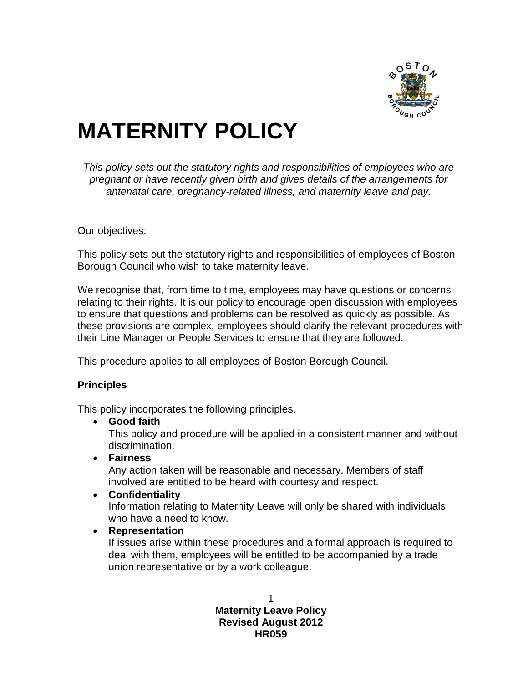

# **MATERNITY POLICY**

*This policy sets out the statutory rights and responsibilities of employees who are pregnant or have recently given birth and gives details of the arrangements for antenatal care, pregnancy-related illness, and maternity leave and pay.*

Our objectives:

This policy sets out the statutory rights and responsibilities of employees of Boston Borough Council who wish to take maternity leave.

We recognise that, from time to time, employees may have questions or concerns relating to their rights. It is our policy to encourage open discussion with employees to ensure that questions and problems can be resolved as quickly as possible. As these provisions are complex, employees should clarify the relevant procedures with their Line Manager or People Services to ensure that they are followed.

This procedure applies to all employees of Boston Borough Council.

#### **Principles**

This policy incorporates the following principles.

**Good faith**

This policy and procedure will be applied in a consistent manner and without discrimination.

**Fairness**

Any action taken will be reasonable and necessary. Members of staff involved are entitled to be heard with courtesy and respect.

- **Confidentiality** Information relating to Maternity Leave will only be shared with individuals who have a need to know.
- **Representation**

If issues arise within these procedures and a formal approach is required to deal with them, employees will be entitled to be accompanied by a trade union representative or by a work colleague.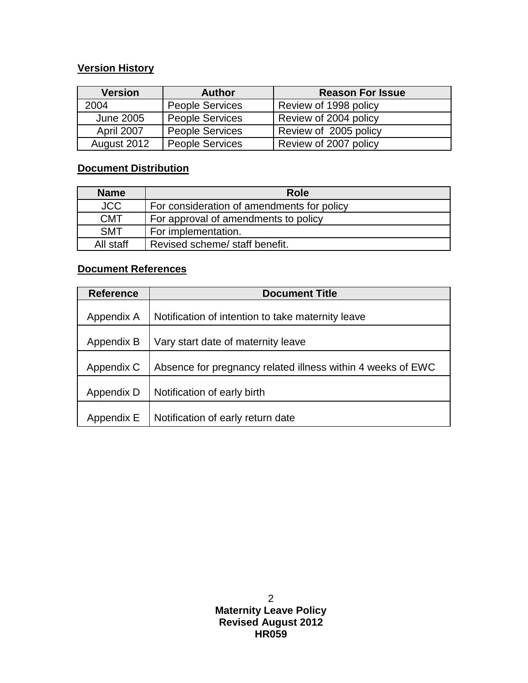# **Version History**

| <b>Version</b>    | <b>Author</b>          | <b>Reason For Issue</b> |
|-------------------|------------------------|-------------------------|
| 2004              | <b>People Services</b> | Review of 1998 policy   |
| June 2005         | <b>People Services</b> | Review of 2004 policy   |
| <b>April 2007</b> | <b>People Services</b> | Review of 2005 policy   |
| August 2012       | <b>People Services</b> | Review of 2007 policy   |

# **Document Distribution**

| <b>Name</b> | <b>Role</b>                                |
|-------------|--------------------------------------------|
| <b>JCC</b>  | For consideration of amendments for policy |
| <b>CMT</b>  | For approval of amendments to policy       |
| <b>SMT</b>  | For implementation.                        |
| All staff   | Revised scheme/ staff benefit.             |

# **Document References**

| <b>Reference</b> | <b>Document Title</b>                                       |
|------------------|-------------------------------------------------------------|
| Appendix A       | Notification of intention to take maternity leave           |
| Appendix B       | Vary start date of maternity leave                          |
| Appendix C       | Absence for pregnancy related illness within 4 weeks of EWC |
| Appendix D       | Notification of early birth                                 |
| Appendix E       | Notification of early return date                           |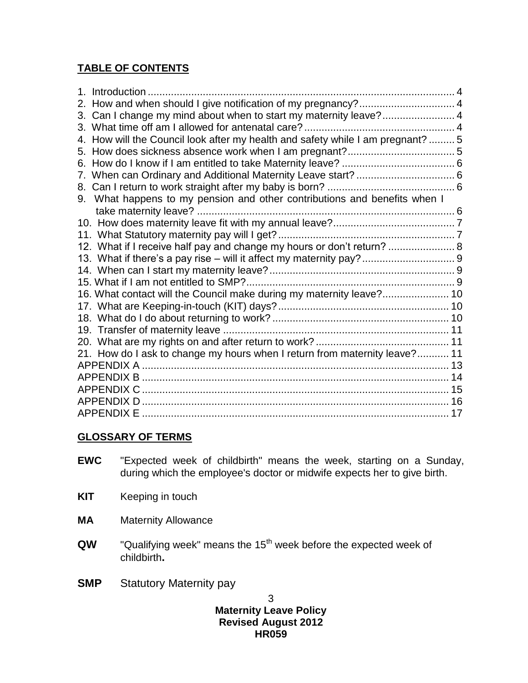# **TABLE OF CONTENTS**

| Introduction                                                                 |  |
|------------------------------------------------------------------------------|--|
| How and when should I give notification of my pregnancy? 4                   |  |
| Can I change my mind about when to start my maternity leave? 4<br>3.         |  |
| 3.                                                                           |  |
| How will the Council look after my health and safety while I am pregnant?  5 |  |
| 5.                                                                           |  |
| 6.                                                                           |  |
|                                                                              |  |
| 8.                                                                           |  |
| What happens to my pension and other contributions and benefits when I<br>9. |  |
|                                                                              |  |
|                                                                              |  |
|                                                                              |  |
| 12. What if I receive half pay and change my hours or don't return?  8       |  |
|                                                                              |  |
|                                                                              |  |
|                                                                              |  |
| 16. What contact will the Council make during my maternity leave? 10         |  |
|                                                                              |  |
|                                                                              |  |
|                                                                              |  |
|                                                                              |  |
| 21. How do I ask to change my hours when I return from maternity leave? 11   |  |
|                                                                              |  |
|                                                                              |  |
|                                                                              |  |
|                                                                              |  |
|                                                                              |  |

# **GLOSSARY OF TERMS**

- **EWC** "Expected week of childbirth" means the week, starting on a Sunday, during which the employee's doctor or midwife expects her to give birth.
- **KIT** Keeping in touch
- **MA** Maternity Allowance
- **QW** "Qualifying week" means the 15<sup>th</sup> week before the expected week of childbirth**.**
- **SMP** Statutory Maternity pay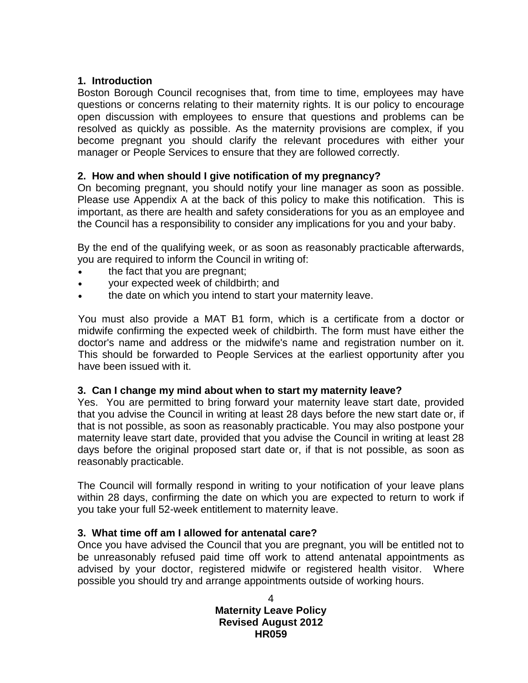#### <span id="page-3-0"></span>**1. Introduction**

Boston Borough Council recognises that, from time to time, employees may have questions or concerns relating to their maternity rights. It is our policy to encourage open discussion with employees to ensure that questions and problems can be resolved as quickly as possible. As the maternity provisions are complex, if you become pregnant you should clarify the relevant procedures with either your manager or People Services to ensure that they are followed correctly.

# <span id="page-3-1"></span>**2. How and when should I give notification of my pregnancy?**

On becoming pregnant, you should notify your line manager as soon as possible. Please use Appendix A at the back of this policy to make this notification. This is important, as there are health and safety considerations for you as an employee and the Council has a responsibility to consider any implications for you and your baby.

By the end of the qualifying week, or as soon as reasonably practicable afterwards, you are required to inform the Council in writing of:

- the fact that you are pregnant;
- your expected week of childbirth; and
- the date on which you intend to start your maternity leave.

You must also provide a MAT B1 form, which is a certificate from a doctor or midwife confirming the expected week of childbirth. The form must have either the doctor's name and address or the midwife's name and registration number on it. This should be forwarded to People Services at the earliest opportunity after you have been issued with it.

#### <span id="page-3-2"></span>**3. Can I change my mind about when to start my maternity leave?**

Yes. You are permitted to bring forward your maternity leave start date, provided that you advise the Council in writing at least 28 days before the new start date or, if that is not possible, as soon as reasonably practicable. You may also postpone your maternity leave start date, provided that you advise the Council in writing at least 28 days before the original proposed start date or, if that is not possible, as soon as reasonably practicable.

The Council will formally respond in writing to your notification of your leave plans within 28 days, confirming the date on which you are expected to return to work if you take your full 52-week entitlement to maternity leave.

# <span id="page-3-3"></span>**3. What time off am I allowed for antenatal care?**

Once you have advised the Council that you are pregnant, you will be entitled not to be unreasonably refused paid time off work to attend antenatal appointments as advised by your doctor, registered midwife or registered health visitor. Where possible you should try and arrange appointments outside of working hours.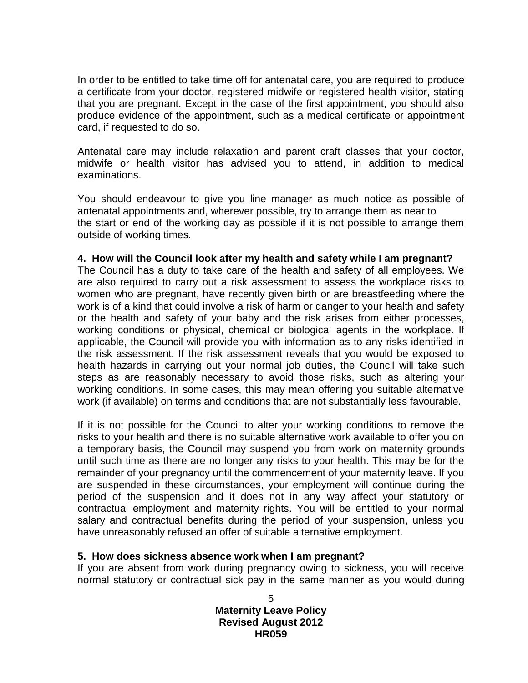In order to be entitled to take time off for antenatal care, you are required to produce a certificate from your doctor, registered midwife or registered health visitor, stating that you are pregnant. Except in the case of the first appointment, you should also produce evidence of the appointment, such as a medical certificate or appointment card, if requested to do so.

Antenatal care may include relaxation and parent craft classes that your doctor, midwife or health visitor has advised you to attend, in addition to medical examinations.

You should endeavour to give you line manager as much notice as possible of antenatal appointments and, wherever possible, try to arrange them as near to the start or end of the working day as possible if it is not possible to arrange them outside of working times.

#### <span id="page-4-0"></span>**4. How will the Council look after my health and safety while I am pregnant?**

The Council has a duty to take care of the health and safety of all employees. We are also required to carry out a risk assessment to assess the workplace risks to women who are pregnant, have recently given birth or are breastfeeding where the work is of a kind that could involve a risk of harm or danger to your health and safety or the health and safety of your baby and the risk arises from either processes, working conditions or physical, chemical or biological agents in the workplace. If applicable, the Council will provide you with information as to any risks identified in the risk assessment. If the risk assessment reveals that you would be exposed to health hazards in carrying out your normal job duties, the Council will take such steps as are reasonably necessary to avoid those risks, such as altering your working conditions. In some cases, this may mean offering you suitable alternative work (if available) on terms and conditions that are not substantially less favourable.

If it is not possible for the Council to alter your working conditions to remove the risks to your health and there is no suitable alternative work available to offer you on a temporary basis, the Council may suspend you from work on maternity grounds until such time as there are no longer any risks to your health. This may be for the remainder of your pregnancy until the commencement of your maternity leave. If you are suspended in these circumstances, your employment will continue during the period of the suspension and it does not in any way affect your statutory or contractual employment and maternity rights. You will be entitled to your normal salary and contractual benefits during the period of your suspension, unless you have unreasonably refused an offer of suitable alternative employment.

#### <span id="page-4-1"></span>**5. How does sickness absence work when I am pregnant?**

If you are absent from work during pregnancy owing to sickness, you will receive normal statutory or contractual sick pay in the same manner as you would during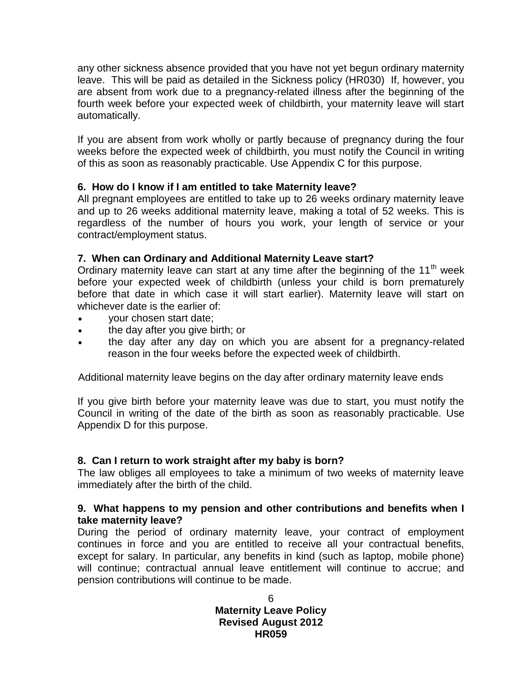any other sickness absence provided that you have not yet begun ordinary maternity leave. This will be paid as detailed in the Sickness policy (HR030) If, however, you are absent from work due to a pregnancy-related illness after the beginning of the fourth week before your expected week of childbirth, your maternity leave will start automatically.

If you are absent from work wholly or partly because of pregnancy during the four weeks before the expected week of childbirth, you must notify the Council in writing of this as soon as reasonably practicable. Use Appendix C for this purpose.

## <span id="page-5-0"></span>**6. How do I know if I am entitled to take Maternity leave?**

All pregnant employees are entitled to take up to 26 weeks ordinary maternity leave and up to 26 weeks additional maternity leave, making a total of 52 weeks. This is regardless of the number of hours you work, your length of service or your contract/employment status.

## <span id="page-5-1"></span>**7. When can Ordinary and Additional Maternity Leave start?**

Ordinary maternity leave can start at any time after the beginning of the 11<sup>th</sup> week before your expected week of childbirth (unless your child is born prematurely before that date in which case it will start earlier). Maternity leave will start on whichever date is the earlier of:

- your chosen start date;
- the day after you give birth; or
- the day after any day on which you are absent for a pregnancy-related reason in the four weeks before the expected week of childbirth.

Additional maternity leave begins on the day after ordinary maternity leave ends

If you give birth before your maternity leave was due to start, you must notify the Council in writing of the date of the birth as soon as reasonably practicable. Use Appendix D for this purpose.

#### <span id="page-5-2"></span>**8. Can I return to work straight after my baby is born?**

The law obliges all employees to take a minimum of two weeks of maternity leave immediately after the birth of the child.

#### <span id="page-5-3"></span>**9. What happens to my pension and other contributions and benefits when I take maternity leave?**

During the period of ordinary maternity leave, your contract of employment continues in force and you are entitled to receive all your contractual benefits, except for salary. In particular, any benefits in kind (such as laptop, mobile phone) will continue; contractual annual leave entitlement will continue to accrue; and pension contributions will continue to be made.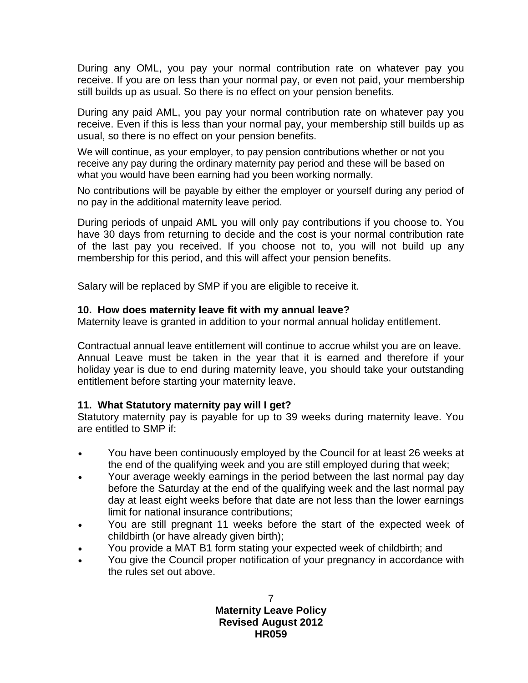During any OML, you pay your normal contribution rate on whatever pay you receive. If you are on less than your normal pay, or even not paid, your membership still builds up as usual. So there is no effect on your pension benefits.

During any paid AML, you pay your normal contribution rate on whatever pay you receive. Even if this is less than your normal pay, your membership still builds up as usual, so there is no effect on your pension benefits.

We will continue, as your employer, to pay pension contributions whether or not you receive any pay during the ordinary maternity pay period and these will be based on what you would have been earning had you been working normally.

No contributions will be payable by either the employer or yourself during any period of no pay in the additional maternity leave period.

During periods of unpaid AML you will only pay contributions if you choose to. You have 30 days from returning to decide and the cost is your normal contribution rate of the last pay you received. If you choose not to, you will not build up any membership for this period, and this will affect your pension benefits.

Salary will be replaced by SMP if you are eligible to receive it.

#### <span id="page-6-0"></span>**10. How does maternity leave fit with my annual leave?**

Maternity leave is granted in addition to your normal annual holiday entitlement.

Contractual annual leave entitlement will continue to accrue whilst you are on leave. Annual Leave must be taken in the year that it is earned and therefore if your holiday year is due to end during maternity leave, you should take your outstanding entitlement before starting your maternity leave.

#### <span id="page-6-1"></span>**11. What Statutory maternity pay will I get?**

Statutory maternity pay is payable for up to 39 weeks during maternity leave. You are entitled to SMP if:

- You have been continuously employed by the Council for at least 26 weeks at the end of the qualifying week and you are still employed during that week;
- Your average weekly earnings in the period between the last normal pay day before the Saturday at the end of the qualifying week and the last normal pay day at least eight weeks before that date are not less than the lower earnings limit for national insurance contributions;
- You are still pregnant 11 weeks before the start of the expected week of childbirth (or have already given birth);
- You provide a MAT B1 form stating your expected week of childbirth; and
- You give the Council proper notification of your pregnancy in accordance with the rules set out above.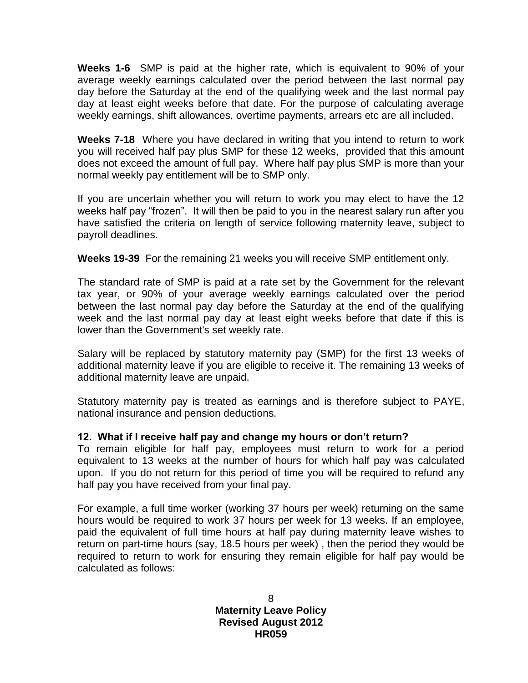**Weeks 1-6** SMP is paid at the higher rate, which is equivalent to 90% of your average weekly earnings calculated over the period between the last normal pay day before the Saturday at the end of the qualifying week and the last normal pay day at least eight weeks before that date. For the purpose of calculating average weekly earnings, shift allowances, overtime payments, arrears etc are all included.

**Weeks 7-18** Where you have declared in writing that you intend to return to work you will received half pay plus SMP for these 12 weeks, provided that this amount does not exceed the amount of full pay. Where half pay plus SMP is more than your normal weekly pay entitlement will be to SMP only.

If you are uncertain whether you will return to work you may elect to have the 12 weeks half pay "frozen". It will then be paid to you in the nearest salary run after you have satisfied the criteria on length of service following maternity leave, subject to payroll deadlines.

**Weeks 19-39** For the remaining 21 weeks you will receive SMP entitlement only.

The standard rate of SMP is paid at a rate set by the Government for the relevant tax year, or 90% of your average weekly earnings calculated over the period between the last normal pay day before the Saturday at the end of the qualifying week and the last normal pay day at least eight weeks before that date if this is lower than the Government's set weekly rate.

Salary will be replaced by statutory maternity pay (SMP) for the first 13 weeks of additional maternity leave if you are eligible to receive it. The remaining 13 weeks of additional maternity leave are unpaid.

Statutory maternity pay is treated as earnings and is therefore subject to PAYE, national insurance and pension deductions.

#### <span id="page-7-0"></span>**12. What if I receive half pay and change my hours or don't return?**

To remain eligible for half pay, employees must return to work for a period equivalent to 13 weeks at the number of hours for which half pay was calculated upon. If you do not return for this period of time you will be required to refund any half pay you have received from your final pay.

For example, a full time worker (working 37 hours per week) returning on the same hours would be required to work 37 hours per week for 13 weeks. If an employee, paid the equivalent of full time hours at half pay during maternity leave wishes to return on part-time hours (say, 18.5 hours per week) , then the period they would be required to return to work for ensuring they remain eligible for half pay would be calculated as follows: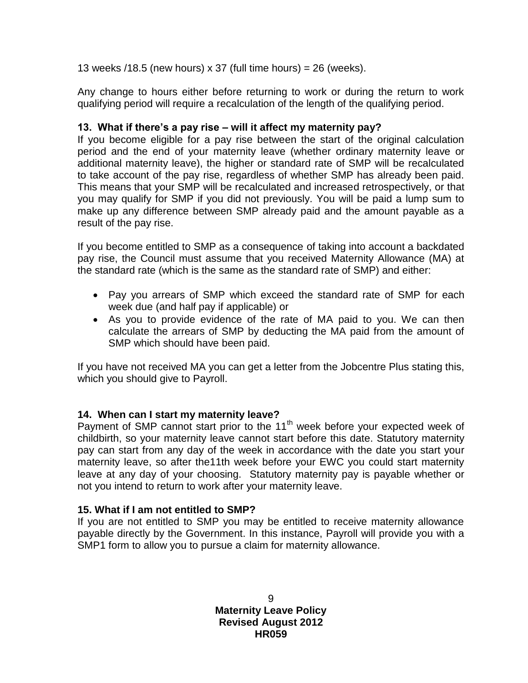13 weeks /18.5 (new hours) x 37 (full time hours) =  $26$  (weeks).

Any change to hours either before returning to work or during the return to work qualifying period will require a recalculation of the length of the qualifying period.

#### <span id="page-8-0"></span>**13. What if there's a pay rise – will it affect my maternity pay?**

If you become eligible for a pay rise between the start of the original calculation period and the end of your maternity leave (whether ordinary maternity leave or additional maternity leave), the higher or standard rate of SMP will be recalculated to take account of the pay rise, regardless of whether SMP has already been paid. This means that your SMP will be recalculated and increased retrospectively, or that you may qualify for SMP if you did not previously. You will be paid a lump sum to make up any difference between SMP already paid and the amount payable as a result of the pay rise.

If you become entitled to SMP as a consequence of taking into account a backdated pay rise, the Council must assume that you received Maternity Allowance (MA) at the standard rate (which is the same as the standard rate of SMP) and either:

- Pay you arrears of SMP which exceed the standard rate of SMP for each week due (and half pay if applicable) or
- As you to provide evidence of the rate of MA paid to you. We can then calculate the arrears of SMP by deducting the MA paid from the amount of SMP which should have been paid.

If you have not received MA you can get a letter from the Jobcentre Plus stating this, which you should give to Payroll.

# <span id="page-8-1"></span>**14. When can I start my maternity leave?**

Payment of SMP cannot start prior to the 11<sup>th</sup> week before your expected week of childbirth, so your maternity leave cannot start before this date. Statutory maternity pay can start from any day of the week in accordance with the date you start your maternity leave, so after the11th week before your EWC you could start maternity leave at any day of your choosing. Statutory maternity pay is payable whether or not you intend to return to work after your maternity leave.

#### <span id="page-8-2"></span>**15. What if I am not entitled to SMP?**

If you are not entitled to SMP you may be entitled to receive maternity allowance payable directly by the Government. In this instance, Payroll will provide you with a SMP1 form to allow you to pursue a claim for maternity allowance.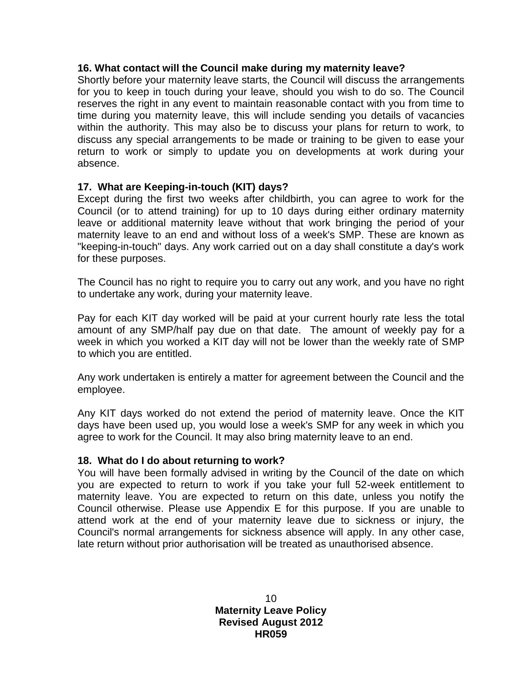#### <span id="page-9-0"></span>**16. What contact will the Council make during my maternity leave?**

Shortly before your maternity leave starts, the Council will discuss the arrangements for you to keep in touch during your leave, should you wish to do so. The Council reserves the right in any event to maintain reasonable contact with you from time to time during you maternity leave, this will include sending you details of vacancies within the authority. This may also be to discuss your plans for return to work, to discuss any special arrangements to be made or training to be given to ease your return to work or simply to update you on developments at work during your absence.

#### <span id="page-9-1"></span>**17. What are Keeping-in-touch (KIT) days?**

Except during the first two weeks after childbirth, you can agree to work for the Council (or to attend training) for up to 10 days during either ordinary maternity leave or additional maternity leave without that work bringing the period of your maternity leave to an end and without loss of a week's SMP. These are known as "keeping-in-touch" days. Any work carried out on a day shall constitute a day's work for these purposes.

The Council has no right to require you to carry out any work, and you have no right to undertake any work, during your maternity leave.

Pay for each KIT day worked will be paid at your current hourly rate less the total amount of any SMP/half pay due on that date. The amount of weekly pay for a week in which you worked a KIT day will not be lower than the weekly rate of SMP to which you are entitled.

Any work undertaken is entirely a matter for agreement between the Council and the employee.

Any KIT days worked do not extend the period of maternity leave. Once the KIT days have been used up, you would lose a week's SMP for any week in which you agree to work for the Council. It may also bring maternity leave to an end.

#### <span id="page-9-2"></span>**18. What do I do about returning to work?**

You will have been formally advised in writing by the Council of the date on which you are expected to return to work if you take your full 52-week entitlement to maternity leave. You are expected to return on this date, unless you notify the Council otherwise. Please use Appendix E for this purpose. If you are unable to attend work at the end of your maternity leave due to sickness or injury, the Council's normal arrangements for sickness absence will apply. In any other case, late return without prior authorisation will be treated as unauthorised absence.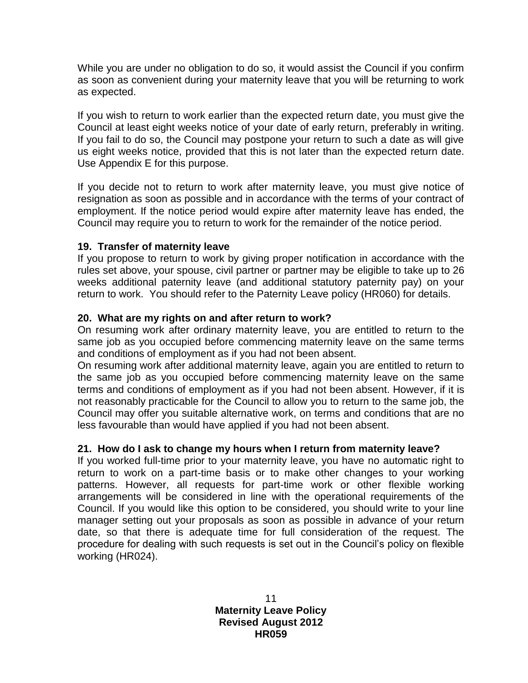While you are under no obligation to do so, it would assist the Council if you confirm as soon as convenient during your maternity leave that you will be returning to work as expected.

If you wish to return to work earlier than the expected return date, you must give the Council at least eight weeks notice of your date of early return, preferably in writing. If you fail to do so, the Council may postpone your return to such a date as will give us eight weeks notice, provided that this is not later than the expected return date. Use Appendix E for this purpose.

If you decide not to return to work after maternity leave, you must give notice of resignation as soon as possible and in accordance with the terms of your contract of employment. If the notice period would expire after maternity leave has ended, the Council may require you to return to work for the remainder of the notice period.

#### <span id="page-10-0"></span>**19. Transfer of maternity leave**

If you propose to return to work by giving proper notification in accordance with the rules set above, your spouse, civil partner or partner may be eligible to take up to 26 weeks additional paternity leave (and additional statutory paternity pay) on your return to work. You should refer to the Paternity Leave policy (HR060) for details.

## <span id="page-10-1"></span>**20. What are my rights on and after return to work?**

On resuming work after ordinary maternity leave, you are entitled to return to the same job as you occupied before commencing maternity leave on the same terms and conditions of employment as if you had not been absent.

On resuming work after additional maternity leave, again you are entitled to return to the same job as you occupied before commencing maternity leave on the same terms and conditions of employment as if you had not been absent. However, if it is not reasonably practicable for the Council to allow you to return to the same job, the Council may offer you suitable alternative work, on terms and conditions that are no less favourable than would have applied if you had not been absent.

#### <span id="page-10-2"></span>**21. How do I ask to change my hours when I return from maternity leave?**

If you worked full-time prior to your maternity leave, you have no automatic right to return to work on a part-time basis or to make other changes to your working patterns. However, all requests for part-time work or other flexible working arrangements will be considered in line with the operational requirements of the Council. If you would like this option to be considered, you should write to your line manager setting out your proposals as soon as possible in advance of your return date, so that there is adequate time for full consideration of the request. The procedure for dealing with such requests is set out in the Council's policy on flexible working (HR024).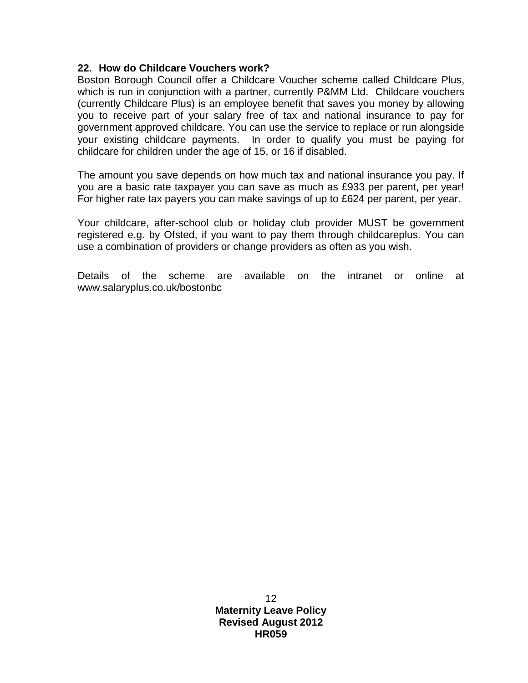#### **22. How do Childcare Vouchers work?**

Boston Borough Council offer a Childcare Voucher scheme called Childcare Plus, which is run in conjunction with a partner, currently P&MM Ltd. Childcare vouchers (currently Childcare Plus) is an employee benefit that saves you money by allowing you to receive part of your salary free of tax and national insurance to pay for government approved childcare. You can use the service to replace or run alongside your existing childcare payments. In order to qualify you must be paying for childcare for children under the age of 15, or 16 if disabled.

The amount you save depends on how much tax and national insurance you pay. If you are a basic rate taxpayer you can save as much as £933 per parent, per year! For higher rate tax payers you can make savings of up to £624 per parent, per year.

Your childcare, after-school club or holiday club provider MUST be government registered e.g. by Ofsted, if you want to pay them through childcareplus. You can use a combination of providers or change providers as often as you wish.

Details of the scheme are available on the intranet or online at www.salaryplus.co.uk/bostonbc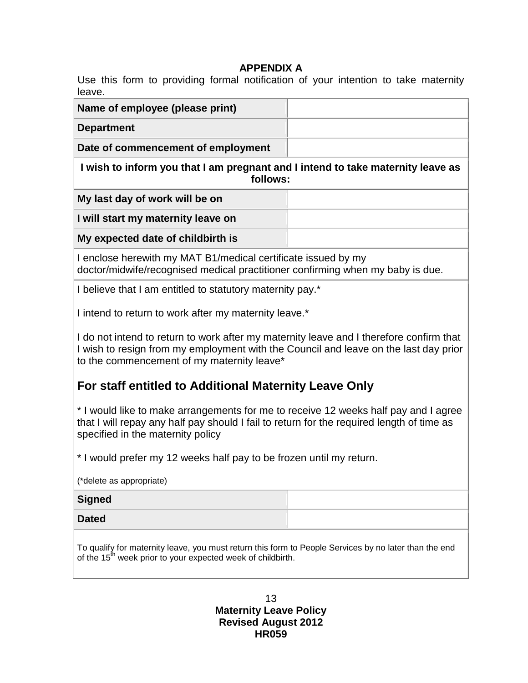# **APPENDIX A**

<span id="page-12-0"></span>Use this form to providing formal notification of your intention to take maternity leave.

| Name of employee (please print)                                                                                                                                                                                               |  |  |
|-------------------------------------------------------------------------------------------------------------------------------------------------------------------------------------------------------------------------------|--|--|
| <b>Department</b>                                                                                                                                                                                                             |  |  |
| Date of commencement of employment                                                                                                                                                                                            |  |  |
| I wish to inform you that I am pregnant and I intend to take maternity leave as<br>follows:                                                                                                                                   |  |  |
| My last day of work will be on                                                                                                                                                                                                |  |  |
| I will start my maternity leave on                                                                                                                                                                                            |  |  |
| My expected date of childbirth is                                                                                                                                                                                             |  |  |
| I enclose herewith my MAT B1/medical certificate issued by my<br>doctor/midwife/recognised medical practitioner confirming when my baby is due.                                                                               |  |  |
| I believe that I am entitled to statutory maternity pay.*                                                                                                                                                                     |  |  |
| I intend to return to work after my maternity leave.*                                                                                                                                                                         |  |  |
| I do not intend to return to work after my maternity leave and I therefore confirm that<br>I wish to resign from my employment with the Council and leave on the last day prior<br>to the commencement of my maternity leave* |  |  |
| For staff entitled to Additional Maternity Leave Only                                                                                                                                                                         |  |  |
| * I would like to make arrangements for me to receive 12 weeks half pay and I agree<br>that I will repay any half pay should I fail to return for the required length of time as<br>specified in the maternity policy         |  |  |
| * I would prefer my 12 weeks half pay to be frozen until my return.                                                                                                                                                           |  |  |
| (*delete as appropriate)                                                                                                                                                                                                      |  |  |
| <b>Signed</b>                                                                                                                                                                                                                 |  |  |
| <b>Dated</b>                                                                                                                                                                                                                  |  |  |
| To qualify for maternity leave, you must return this form to People Services by no later than the end<br>of the 15 <sup>th</sup> week prior to your expected week of childbirth.                                              |  |  |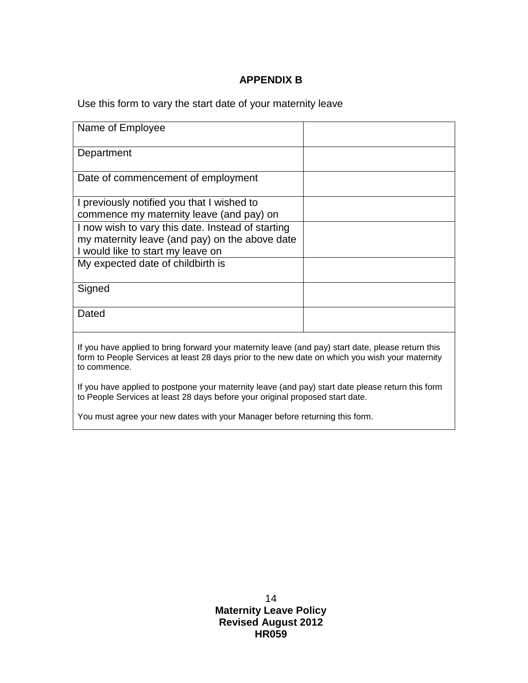# **APPENDIX B**

<span id="page-13-0"></span>Use this form to vary the start date of your maternity leave

| Name of Employee                                                                                                                                                                                                      |  |  |
|-----------------------------------------------------------------------------------------------------------------------------------------------------------------------------------------------------------------------|--|--|
| Department                                                                                                                                                                                                            |  |  |
| Date of commencement of employment                                                                                                                                                                                    |  |  |
| I previously notified you that I wished to                                                                                                                                                                            |  |  |
| commence my maternity leave (and pay) on                                                                                                                                                                              |  |  |
| I now wish to vary this date. Instead of starting                                                                                                                                                                     |  |  |
| my maternity leave (and pay) on the above date                                                                                                                                                                        |  |  |
| I would like to start my leave on                                                                                                                                                                                     |  |  |
| My expected date of childbirth is                                                                                                                                                                                     |  |  |
| Signed                                                                                                                                                                                                                |  |  |
| Dated                                                                                                                                                                                                                 |  |  |
| If you have applied to bring forward your maternity leave (and pay) start date, please return this<br>form to People Services at least 28 days prior to the new date on which you wish your maternity<br>to commence. |  |  |
| If you have applied to postpone your maternity leave (and pay) start date please return this form<br>to People Services at least 28 days before your original proposed start date.                                    |  |  |
|                                                                                                                                                                                                                       |  |  |

You must agree your new dates with your Manager before returning this form.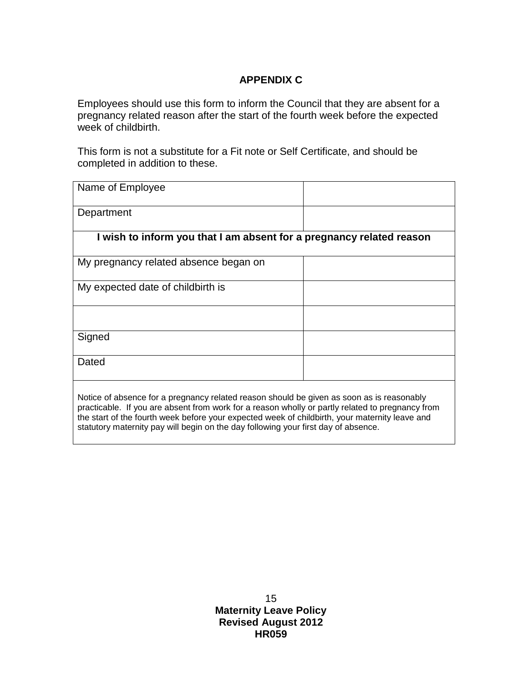# **APPENDIX C**

<span id="page-14-0"></span>Employees should use this form to inform the Council that they are absent for a pregnancy related reason after the start of the fourth week before the expected week of childbirth.

This form is not a substitute for a Fit note or Self Certificate, and should be completed in addition to these.

| Name of Employee                                                                                                                                                                              |  |
|-----------------------------------------------------------------------------------------------------------------------------------------------------------------------------------------------|--|
| Department                                                                                                                                                                                    |  |
| I wish to inform you that I am absent for a pregnancy related reason                                                                                                                          |  |
| My pregnancy related absence began on                                                                                                                                                         |  |
| My expected date of childbirth is                                                                                                                                                             |  |
|                                                                                                                                                                                               |  |
| Signed                                                                                                                                                                                        |  |
| Dated                                                                                                                                                                                         |  |
| Notice of absence for a pregnancy related reason should be given as soon as is reasonably<br>procticeble. If you are aboast from work for a reason whelly ar partly related to pregnancy from |  |

practicable. If you are absent from work for a reason wholly or partly related to pregnancy from the start of the fourth week before your expected week of childbirth, your maternity leave and statutory maternity pay will begin on the day following your first day of absence.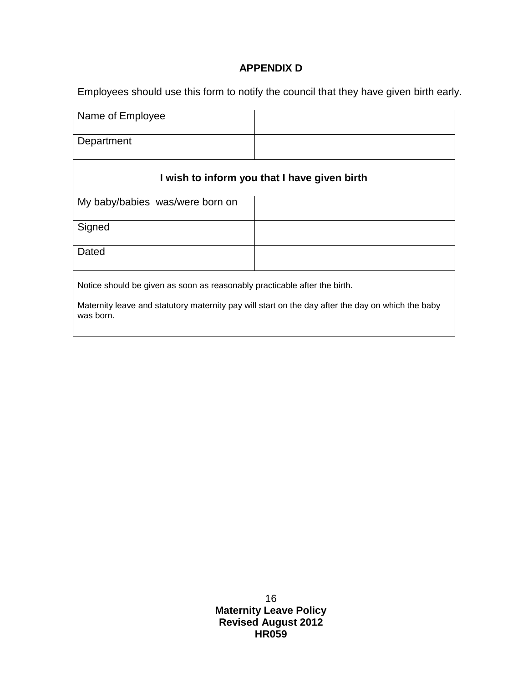## **APPENDIX D**

<span id="page-15-0"></span>Employees should use this form to notify the council that they have given birth early.

| Name of Employee                                                                                               |  |  |
|----------------------------------------------------------------------------------------------------------------|--|--|
| Department                                                                                                     |  |  |
| I wish to inform you that I have given birth                                                                   |  |  |
| My baby/babies was/were born on                                                                                |  |  |
| Signed                                                                                                         |  |  |
| Dated                                                                                                          |  |  |
| Notice should be given as soon as reasonably practicable after the birth.                                      |  |  |
| Maternity leave and statutory maternity pay will start on the day after the day on which the baby<br>was born. |  |  |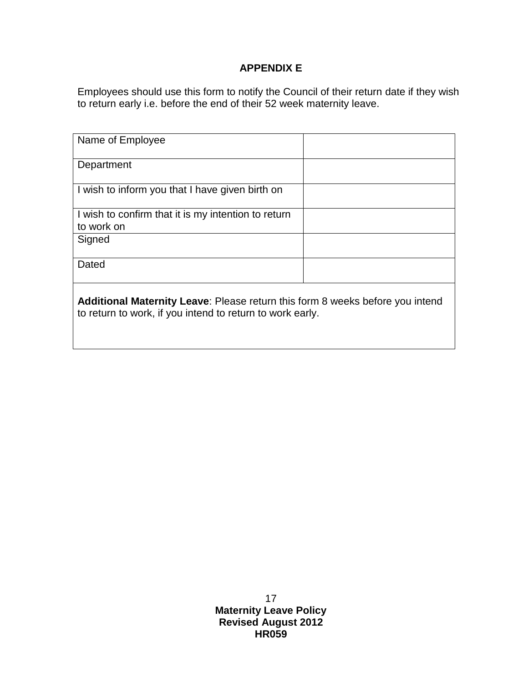# **APPENDIX E**

<span id="page-16-0"></span>Employees should use this form to notify the Council of their return date if they wish to return early i.e. before the end of their 52 week maternity leave.

| Name of Employee                                                                                                                                  |  |  |
|---------------------------------------------------------------------------------------------------------------------------------------------------|--|--|
| Department                                                                                                                                        |  |  |
| I wish to inform you that I have given birth on                                                                                                   |  |  |
| I wish to confirm that it is my intention to return<br>to work on                                                                                 |  |  |
| Signed                                                                                                                                            |  |  |
| Dated                                                                                                                                             |  |  |
| <b>Additional Maternity Leave: Please return this form 8 weeks before you intend</b><br>to return to work, if you intend to return to work early. |  |  |